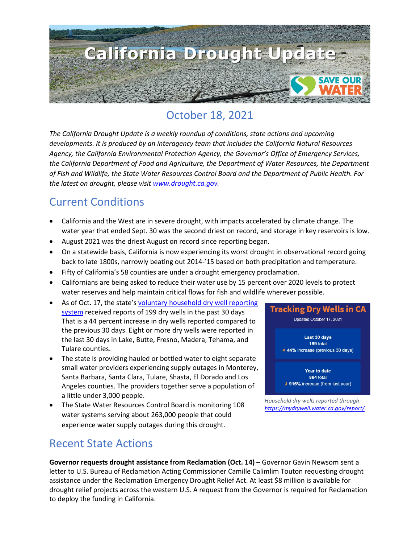

## October 18, 2021

*The California Drought Update is a weekly roundup of conditions, state actions and upcoming developments. It is produced by an interagency team that includes the California Natural Resources Agency, the California Environmental Protection Agency, the Governor's Office of Emergency Services, the California Department of Food and Agriculture, the Department of Water Resources, the Department of Fish and Wildlife, the State Water Resources Control Board and the Department of Public Health. For the latest on drought, please visit [www.drought.ca.gov.](http://www.drought.ca.gov/)* 

### Current Conditions

- California and the West are in severe drought, with impacts accelerated by climate change. The water year that ended Sept. 30 was the second driest on record, and storage in key reservoirs is low.
- August 2021 was the driest August on record since reporting began.
- On a statewide basis, California is now experiencing its worst drought in observational record going back to late 1800s, narrowly beating out 2014-'15 based on both precipitation and temperature.
- Fifty of California's 58 counties are under a drought emergency proclamation.
- Californians are being asked to reduce their water use by 15 percent over 2020 levels to protect water reserves and help maintain critical flows for fish and wildlife wherever possible.
- As of Oct. 17, the state'[s voluntary household dry well reporting](https://mydrywell.water.ca.gov/report/)  [system](https://mydrywell.water.ca.gov/report/) received reports of 199 dry wells in the past 30 days That is a 44 percent increase in dry wells reported compared to the previous 30 days. Eight or more dry wells were reported in the last 30 days in Lake, Butte, Fresno, Madera, Tehama, and Tulare counties.
- The state is providing hauled or bottled water to eight separate small water providers experiencing supply outages in Monterey, Santa Barbara, Santa Clara, Tulare, Shasta, El Dorado and Los Angeles counties. The providers together serve a population of a little under 3,000 people.
- The State Water Resources Control Board is monitoring 108 water systems serving about 263,000 people that could experience water supply outages during this drought.

### Recent State Actions



*Household dry wells reported through [https://mydrywell.water.ca.gov/report/.](https://mydrywell.water.ca.gov/report/)*

**Governor requests drought assistance from Reclamation (Oct. 14)** – Governor Gavin Newsom sent a letter to U.S. Bureau of Reclamation Acting Commissioner Camille Calimlim Touton requesting drought assistance under the Reclamation Emergency Drought Relief Act. At least \$8 million is available for drought relief projects across the western U.S. A request from the Governor is required for Reclamation to deploy the funding in California.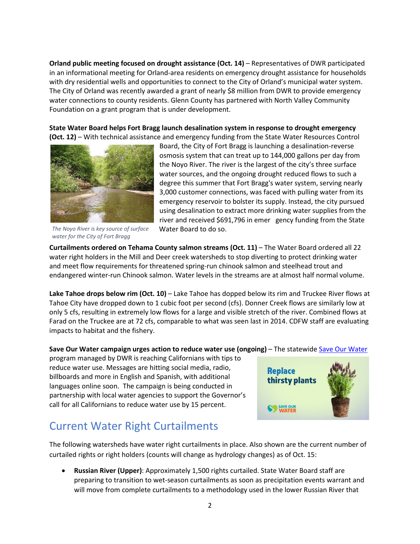**Orland public meeting focused on drought assistance (Oct. 14)** – Representatives of DWR participated in an informational meeting for Orland-area residents on emergency drought assistance for households with dry residential wells and opportunities to connect to the City of Orland's municipal water system. The City of Orland was recently awarded a grant of nearly \$8 million from DWR to provide emergency water connections to county residents. Glenn County has partnered with North Valley Community Foundation on a grant program that is under development.

**State Water Board helps Fort Bragg launch desalination system in response to drought emergency (Oct. 12)** – With technical assistance and emergency funding from the State Water Resources Control



*The Noyo River is key source of surface water for the City of Fort Bragg*

Board, the City of Fort Bragg is launching a desalination-reverse osmosis system that can treat up to 144,000 gallons per day from the Noyo River. The river is the largest of the city's three surface water sources, and the ongoing drought reduced flows to such a degree this summer that Fort Bragg's water system, serving nearly 3,000 customer connections, was faced with pulling water from its emergency reservoir to bolster its supply. Instead, the city pursued using desalination to extract more drinking water supplies from the river and received \$691,796 in emer gency funding from the State Water Board to do so.

**Curtailments ordered on Tehama County salmon streams (Oct. 11)** – The Water Board ordered all 22 water right holders in the Mill and Deer creek watersheds to stop diverting to protect drinking water and meet flow requirements for threatened spring-run chinook salmon and steelhead trout and endangered winter-run Chinook salmon. Water levels in the streams are at almost half normal volume.

**Lake Tahoe drops below rim (Oct. 10)** – Lake Tahoe has dopped below its rim and Truckee River flows at Tahoe City have dropped down to 1 cubic foot per second (cfs). Donner Creek flows are similarly low at only 5 cfs, resulting in extremely low flows for a large and visible stretch of the river. Combined flows at Farad on the Truckee are at 72 cfs, comparable to what was seen last in 2014. CDFW staff are evaluating impacts to habitat and the fishery.

#### **Save Our Water campaign urges action to reduce water use (ongoing)** – The statewide [Save Our Water](https://cawater-my.sharepoint.com/personal/lisa_lien-mager_resources_ca_gov/Documents/Drought/saveourwater.com)

program managed by DWR is reaching Californians with tips to reduce water use. Messages are hitting social media, radio, billboards and more in English and Spanish, with additional languages online soon. The campaign is being conducted in partnership with local water agencies to support the Governor's call for all Californians to reduce water use by 15 percent.

### Current Water Right Curtailments

The following watersheds have water right curtailments in place. Also shown are the current number of curtailed rights or right holders (counts will change as hydrology changes) as of Oct. 15:

• **Russian River (Upper)**: Approximately 1,500 rights curtailed. State Water Board staff are preparing to transition to wet-season curtailments as soon as precipitation events warrant and will move from complete curtailments to a methodology used in the lower Russian River that

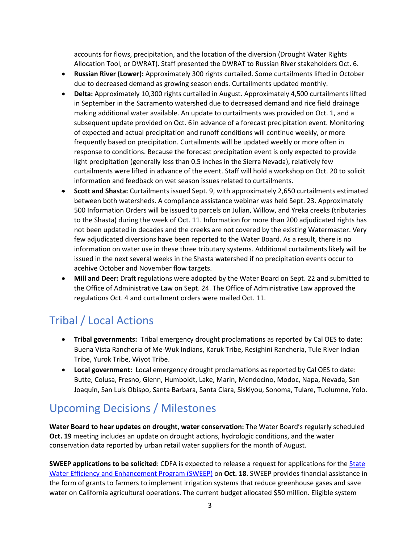accounts for flows, precipitation, and the location of the diversion (Drought Water Rights Allocation Tool, or DWRAT). Staff presented the DWRAT to Russian River stakeholders Oct. 6.

- **Russian River (Lower):** Approximately 300 rights curtailed. Some curtailments lifted in October due to decreased demand as growing season ends. Curtailments updated monthly.
- **Delta:** Approximately 10,300 rights curtailed in August. Approximately 4,500 curtailments lifted in September in the Sacramento watershed due to decreased demand and rice field drainage making additional water available. An update to curtailments was provided on Oct. 1, and a subsequent update provided on Oct. 6 in advance of a forecast precipitation event. Monitoring of expected and actual precipitation and runoff conditions will continue weekly, or more frequently based on precipitation. Curtailments will be updated weekly or more often in response to conditions. Because the forecast precipitation event is only expected to provide light precipitation (generally less than 0.5 inches in the Sierra Nevada), relatively few curtailments were lifted in advance of the event. Staff will hold a workshop on Oct. 20 to solicit information and feedback on wet season issues related to curtailments.
- **Scott and Shasta:** Curtailments issued Sept. 9, with approximately 2,650 curtailments estimated between both watersheds. A compliance assistance webinar was held Sept. 23. Approximately 500 Information Orders will be issued to parcels on Julian, Willow, and Yreka creeks (tributaries to the Shasta) during the week of Oct. 11. Information for more than 200 adjudicated rights has not been updated in decades and the creeks are not covered by the existing Watermaster. Very few adjudicated diversions have been reported to the Water Board. As a result, there is no information on water use in these three tributary systems. Additional curtailments likely will be issued in the next several weeks in the Shasta watershed if no precipitation events occur to acehive October and November flow targets.
- **Mill and Deer:** Draft regulations were adopted by the Water Board on Sept. 22 and submitted to the Office of Administrative Law on Sept. 24. The Office of Administrative Law approved the regulations Oct. 4 and curtailment orders were mailed Oct. 11.

# Tribal / Local Actions

- **Tribal governments:** Tribal emergency drought proclamations as reported by Cal OES to date: Buena Vista Rancheria of Me-Wuk Indians, Karuk Tribe, Resighini Rancheria, Tule River Indian Tribe, Yurok Tribe, Wiyot Tribe.
- **Local government:** Local emergency drought proclamations as reported by Cal OES to date: Butte, Colusa, Fresno, Glenn, Humboldt, Lake, Marin, Mendocino, Modoc, Napa, Nevada, San Joaquin, San Luis Obispo, Santa Barbara, Santa Clara, Siskiyou, Sonoma, Tulare, Tuolumne, Yolo.

# Upcoming Decisions / Milestones

**Water Board to hear updates on drought, water conservation:** The Water Board's regularly scheduled **Oct. 19** meeting includes an update on drought actions, hydrologic conditions, and the water conservation data reported by urban retail water suppliers for the month of August.

**SWEEP applications to be solicited**: CDFA is expected to release a request for applications for th[e State](https://www.cdfa.ca.gov/oefi/sweep/)  [Water Efficiency and Enhancement Program \(SWEEP\)](https://www.cdfa.ca.gov/oefi/sweep/) on **Oct. 18**. SWEEP provides financial assistance in the form of grants to farmers to implement irrigation systems that reduce greenhouse gases and save water on California agricultural operations. The current budget allocated \$50 million. Eligible system